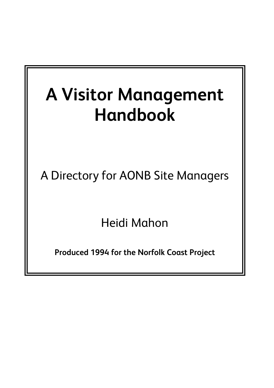# **A Visitor Management Handbook**

A Directory for AONB Site Managers

Heidi Mahon

**Produced 1994 for the Norfolk Coast Project**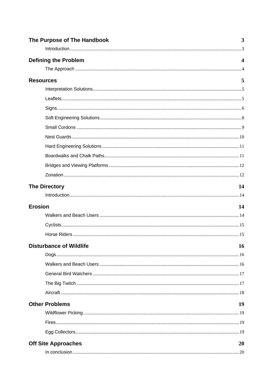| The Purpose of The Handbook    | 3  |
|--------------------------------|----|
|                                |    |
| <b>Defining the Problem</b>    | 4  |
|                                |    |
| <b>Resources</b>               | 5  |
|                                |    |
|                                |    |
|                                |    |
|                                |    |
|                                |    |
|                                |    |
|                                |    |
|                                |    |
|                                |    |
|                                |    |
| <b>The Directory</b>           | 14 |
|                                |    |
| <b>Erosion</b>                 | 14 |
|                                |    |
|                                |    |
|                                |    |
| <b>Disturbance of Wildlife</b> | 16 |
|                                |    |
|                                |    |
|                                |    |
|                                |    |
|                                |    |
| <b>Other Problems</b>          | 19 |
|                                |    |
|                                |    |
|                                |    |
| <b>Off Site Approaches</b>     | 20 |
|                                |    |
|                                |    |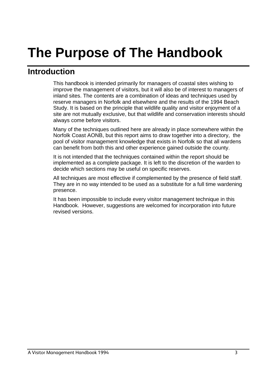## **The Purpose of The Handbook**

### **Introduction**

This handbook is intended primarily for managers of coastal sites wishing to improve the management of visitors, but it will also be of interest to managers of inland sites. The contents are a combination of ideas and techniques used by reserve managers in Norfolk and elsewhere and the results of the 1994 Beach Study. It is based on the principle that wildlife quality and visitor enjoyment of a site are not mutually exclusive, but that wildlife and conservation interests should always come before visitors.

Many of the techniques outlined here are already in place somewhere within the Norfolk Coast AONB, but this report aims to draw together into a directory, the pool of visitor management knowledge that exists in Norfolk so that all wardens can benefit from both this and other experience gained outside the county.

It is not intended that the techniques contained within the report should be implemented as a complete package. It is left to the discretion of the warden to decide which sections may be useful on specific reserves.

All techniques are most effective if complemented by the presence of field staff. They are in no way intended to be used as a substitute for a full time wardening presence.

It has been impossible to include every visitor management technique in this Handbook. However, suggestions are welcomed for incorporation into future revised versions.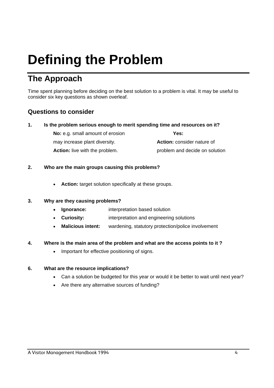## **Defining the Problem**

## **The Approach**

Time spent planning before deciding on the best solution to a problem is vital. It may be useful to consider six key questions as shown overleaf.

#### **Questions to consider**

#### **1. Is the problem serious enough to merit spending time and resources on it?**

| <b>No:</b> e.g. small amount of erosion | Yes:                |
|-----------------------------------------|---------------------|
| may increase plant diversity.           | <b>Action: cons</b> |

Action: consider nature of

**Action:** live with the problem. **problem** and decide on solution

#### **2. Who are the main groups causing this problems?**

• **Action:** target solution specifically at these groups.

#### **3. Why are they causing problems?**

- • **Ignorance:** interpretation based solution
- **Curiosity:** interpretation and engineering solutions
- **Malicious intent:** wardening, statutory protection/police involvement

#### **4. Where is the main area of the problem and what are the access points to it ?**

• Important for effective positioning of signs.

#### **6. What are the resource implications?**

- Can a solution be budgeted for this year or would it be better to wait until next year?
- Are there any alternative sources of funding?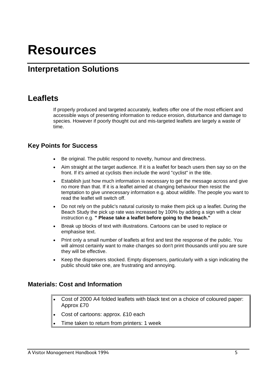## **Resources**

## **Interpretation Solutions**

### **Leaflets**

If properly produced and targeted accurately, leaflets offer one of the most efficient and accessible ways of presenting information to reduce erosion, disturbance and damage to species. However if poorly thought out and mis-targeted leaflets are largely a waste of time.

#### **Key Points for Success**

- Be original. The public respond to novelty, humour and directness.
- Aim straight at the target audience. If it is a leaflet for beach users then say so on the front. If it's aimed at cyclists then include the word "cyclist" in the title.
- Establish just how much information is necessary to get the message across and give no more than that. If it is a leaflet aimed at changing behaviour then resist the temptation to give unnecessary information e.g. about wildlife. The people you want to read the leaflet will switch off.
- Do not rely on the public's natural curiosity to make them pick up a leaflet. During the Beach Study the pick up rate was increased by 100% by adding a sign with a clear instruction e.g. **" Please take a leaflet before going to the beach."**
- Break up blocks of text with illustrations. Cartoons can be used to replace or emphasise text.
- Print only a small number of leaflets at first and test the response of the public. You will almost certainly want to make changes so don't print thousands until you are sure they will be effective.
- Keep the dispensers stocked. Empty dispensers, particularly with a sign indicating the public should take one, are frustrating and annoying.

#### **Materials: Cost and Information**

- Cost of 2000 A4 folded leaflets with black text on a choice of coloured paper: Approx £70
- Cost of cartoons: approx. £10 each
- Time taken to return from printers: 1 week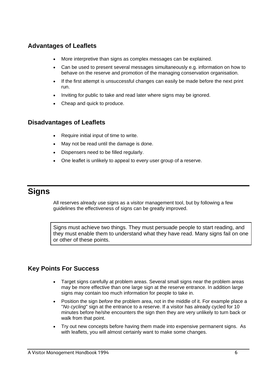#### **Advantages of Leaflets**

- More interpretive than signs as complex messages can be explained.
- Can be used to present several messages simultaneously e.g. information on how to behave on the reserve and promotion of the managing conservation organisation.
- If the first attempt is unsuccessful changes can easily be made before the next print run.
- Inviting for public to take and read later where signs may be ignored.
- Cheap and quick to produce.

#### **Disadvantages of Leaflets**

- Require initial input of time to write.
- May not be read until the damage is done.
- Dispensers need to be filled regularly.
- One leaflet is unlikely to appeal to every user group of a reserve.

## **Signs**

All reserves already use signs as a visitor management tool, but by following a few guidelines the effectiveness of signs can be greatly improved.

Signs must achieve two things. They must persuade people to start reading, and they must enable them to understand what they have read. Many signs fail on one or other of these points.

#### **Key Points For Success**

- Target signs carefully at problem areas. Several small signs near the problem areas may be more effective than one large sign at the reserve entrance. In addition large signs may contain too much information for people to take in.
- Position the sign *before* the problem area, not in the middle of it. For example place a "*No cycling*" sign at the entrance to a reserve. If a visitor has already cycled for 10 minutes before he/she encounters the sign then they are very unlikely to turn back or walk from that point.
- Try out new concepts before having them made into expensive permanent signs. As with leaflets, you will almost certainly want to make some changes.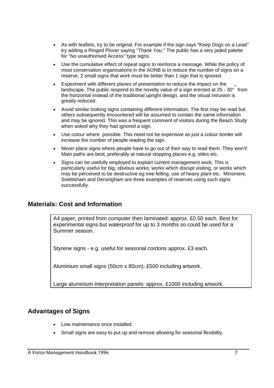- As with leaflets, try to be original. For example if the sign says "Keep Dogs on a Lead*"* try adding a Ringed Plover saying "*Thank You.*" The public has a very jaded palette for "No unauthorised Access*"* type signs.
- Use the cumulative effect of repeat signs to reinforce a message. While the policy of most conservation organisations in the AONB is to reduce the number of signs on a reserve, 2 small signs that work must be better than 1 sign that is ignored.
- Experiment with different planes of presentation to reduce the impact on the landscape. The public respond to the novelty value of a sign erected at 25 - 30° from the horizontal instead of the traditional upright design, and the visual intrusion is greatly reduced.
- Avoid similar looking signs containing different information. The first may be read but others subsequently encountered will be assumed to contain the same information and may be ignored. This was a frequent comment of visitors during the Beach Study when asked why they had ignored a sign.
- Use colour where possible. This need not be expensive as just a colour border will increase the number of people reading the sign.
- Never place signs where people have to go out of their way to read them. They won't! Main paths are best, preferably at natural stopping places e.g. stiles etc.
- Signs can be usefully employed to explain current management work. This is particularly useful for big, obvious works; works which disrupt visiting, or works which may be perceived to be destructive eg tree felling, use of heavy plant etc. Minsmere, Snettisham and Dersingham are three examples of reserves using such signs successfully.

#### **Materials: Cost and Information**

A4 paper, printed from computer then laminated: approx. £0.50 each. Best for experimental signs but waterproof for up to 3 months so could be used for a Summer season.

Styrene signs - e.g. useful for seasonal cordons approx. £3 each.

Aluminium small signs (50cm x 80cm): £500 including artwork.

Large aluminium interpretation panels: approx. £1000 including artwork.

#### **Advantages of Signs**

- Low maintenance once installed.
- Small signs are easy to put up and remove allowing for seasonal flexibility.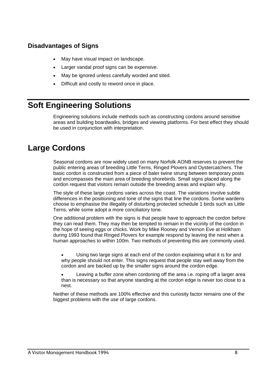#### **Disadvantages of Signs**

- May have visual impact on landscape.
- Larger vandal proof signs can be expensive.
- May be ignored unless carefully worded and sited.
- Difficult and costly to reword once in place.

## **Soft Engineering Solutions**

Engineering solutions include methods such as constructing cordons around sensitive areas and building boardwalks, bridges and viewing platforms. For best effect they should be used in conjunction with interpretation.

## **Large Cordons**

Seasonal cordons are now widely used on many Norfolk AONB reserves to prevent the public entering areas of breeding Little Terns, Ringed Plovers and Oystercatchers. The basic cordon is constructed from a piece of baler twine strung between temporary posts and encompasses the main area of breeding shorebirds. Small signs placed along the cordon request that visitors remain outside the breeding areas and explain why.

The style of these large cordons varies across the coast. The variations involve subtle differences in the positioning and tone of the signs that line the cordons. Some wardens choose to emphasise the illegality of disturbing protected schedule 1 birds such as Little Terns, while some adopt a more conciliatory tone.

One additional problem with the signs is that people have to approach the cordon before they can read them. They may then be tempted to remain in the vicinity of the cordon in the hope of seeing eggs or chicks. Work by Mike Rooney and Vernon Eve at Holkham during 1993 found that Ringed Plovers for example respond by leaving the nest when a human approaches to within 100m. Two methods of preventing this are commonly used.

• Using two large signs at each end of the cordon explaining what it is for and why people should not enter. This signs request that people stay well away from the cordon and are backed up by the smaller signs around the cordon edge.

• Leaving a buffer zone when cordoning off the area i.e. roping off a larger area than is necessary so that anyone standing at the cordon edge is never too close to a nest.

Neither of these methods are 100% effective and this curiosity factor remains one of the biggest problems with the use of large cordons.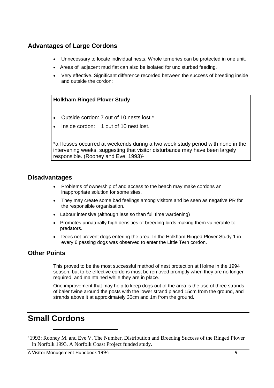#### **Advantages of Large Cordons**

- Unnecessary to locate individual nests. Whole terneries can be protected in one unit.
- Areas of adjacent mud flat can also be isolated for undisturbed feeding.
- Very effective. Significant difference recorded between the success of breeding inside and outside the cordon:

#### **Holkham Ringed Plover Study**

- Outside cordon: 7 out of 10 nests lost.\*
- Inside cordon: 1 out of 10 nest lost.

\*all losses occurred at weekends during a two week study period with none in the intervening weeks, suggesting that visitor disturbance may have been largely responsible. (Rooney and Eve, 1993)1

#### **Disadvantages**

- Problems of ownership of and access to the beach may make cordons an inappropriate solution for some sites.
- They may create some bad feelings among visitors and be seen as negative PR for the responsible organisation.
- Labour intensive (although less so than full time wardening)
- Promotes unnaturally high densities of breeding birds making them vulnerable to predators.
- Does not prevent dogs entering the area. In the Holkham Ringed Plover Study 1 in every 6 passing dogs was observed to enter the Little Tern cordon.

#### **Other Points**

This proved to be the most successful method of nest protection at Holme in the 1994 season, but to be effective cordons must be removed promptly when they are no longer required, and maintained while they are in place.

One improvement that may help to keep dogs out of the area is the use of three strands of baler twine around the posts with the lower strand placed 15cm from the ground, and strands above it at approximately 30cm and 1m from the ground.

## **Small Cordons**

 $\overline{a}$ 

11993: Rooney M. and Eve V. The Number, Distribution and Breeding Success of the Ringed Plover in Norfolk 1993. A Norfolk Coast Project funded study.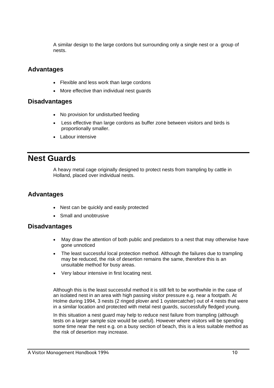A similar design to the large cordons but surrounding only a single nest or a group of nests.

#### **Advantages**

- Flexible and less work than large cordons
- More effective than individual nest guards

#### **Disadvantages**

- No provision for undisturbed feeding
- Less effective than large cordons as buffer zone between visitors and birds is proportionally smaller.
- Labour intensive

### **Nest Guards**

A heavy metal cage originally designed to protect nests from trampling by cattle in Holland, placed over individual nests.

#### **Advantages**

- Nest can be quickly and easily protected
- Small and unobtrusive

#### **Disadvantages**

- May draw the attention of both public and predators to a nest that may otherwise have gone unnoticed
- The least successful local protection method. Although the failures due to trampling may be reduced, the risk of desertion remains the same, therefore this is an unsuitable method for busy areas.
- Very labour intensive in first locating nest.

Although this is the least successful method it is still felt to be worthwhile in the case of an isolated nest in an area with high passing visitor pressure e.g. near a footpath. At Holme during 1994, 3 nests (2 ringed plover and 1 oystercatcher) out of 4 nests that were in a similar location and protected with metal nest guards, successfully fledged young.

In this situation a nest guard may help to reduce nest failure from trampling (although tests on a larger sample size would be useful). However where visitors will be spending some time near the nest e.g. on a busy section of beach, this is a less suitable method as the risk of desertion may increase.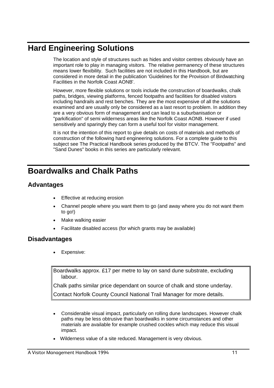## **Hard Engineering Solutions**

The location and style of structures such as hides and visitor centres obviously have an important role to play in managing visitors. The relative permanency of these structures means lower flexibility. Such facilities are not included in this Handbook, but are considered in more detail in the publication 'Guidelines for the Provision of Birdwatching Facilities in the Norfolk Coast AONB'.

However, more flexible solutions or tools include the construction of boardwalks, chalk paths, bridges, viewing platforms, fenced footpaths and facilities for disabled visitors including handrails and rest benches. They are the most expensive of all the solutions examined and are usually only be considered as a last resort to problem. In addition they are a very obvious form of management and can lead to a suburbanisation or "parkification" of semi wilderness areas like the Norfolk Coast AONB. However if used sensitively and sparingly they can form a useful tool for visitor management.

It is not the intention of this report to give details on costs of materials and methods of construction of the following hard engineering solutions. For a complete guide to this subject see The Practical Handbook series produced by the BTCV. The "Footpaths" and "Sand Dunes" books in this series are particularly relevant.

## **Boardwalks and Chalk Paths**

#### **Advantages**

- **Effective at reducing erosion**
- Channel people where you want them to go (and away where you do not want them to go!)
- Make walking easier
- Facilitate disabled access (for which grants may be available)

#### **Disadvantages**

Expensive:

Boardwalks approx. £17 per metre to lay on sand dune substrate, excluding labour.

Chalk paths similar price dependant on source of chalk and stone underlay.

Contact Norfolk County Council National Trail Manager for more details.

- Considerable visual impact, particularly on rolling dune landscapes. However chalk paths may be less obtrusive than boardwalks in some circumstances and other materials are available for example crushed cockles which may reduce this visual impact.
- Wilderness value of a site reduced. Management is very obvious.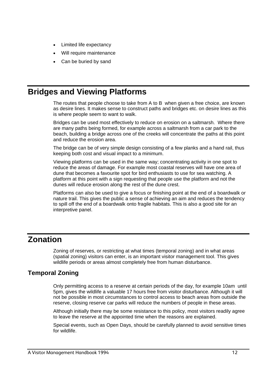- Limited life expectancy
- Will require maintenance
- Can be buried by sand

## **Bridges and Viewing Platforms**

The routes that people choose to take from A to B when given a free choice, are known as desire lines. It makes sense to construct paths and bridges etc. on desire lines as this is where people seem to want to walk.

Bridges can be used most effectively to reduce on erosion on a saltmarsh. Where there are many paths being formed, for example across a saltmarsh from a car park to the beach, building a bridge across one of the creeks will concentrate the paths at this point and reduce the erosion area.

The bridge can be of very simple design consisting of a few planks and a hand rail, thus keeping both cost and visual impact to a minimum.

Viewing platforms can be used in the same way; concentrating activity in one spot to reduce the areas of damage. For example most coastal reserves will have one area of dune that becomes a favourite spot for bird enthusiasts to use for sea watching. A platform at this point with a sign requesting that people use the platform and not the dunes will reduce erosion along the rest of the dune crest.

Platforms can also be used to give a focus or finishing point at the end of a boardwalk or nature trail. This gives the public a sense of achieving an aim and reduces the tendency to spill off the end of a boardwalk onto fragile habitats. This is also a good site for an interpretive panel.

## **Zonation**

Zoning of reserves, or restricting at what times (temporal zoning) and in what areas (spatial zoning) visitors can enter, is an important visitor management tool. This gives wildlife periods or areas almost completely free from human disturbance.

#### **Temporal Zoning**

Only permitting access to a reserve at certain periods of the day, for example 10am until 5pm, gives the wildlife a valuable 17 hours free from visitor disturbance. Although it will not be possible in most circumstances to control access to beach areas from outside the reserve, closing reserve car parks will reduce the numbers of people in these areas.

Although initially there may be some resistance to this policy, most visitors readily agree to leave the reserve at the appointed time when the reasons are explained.

Special events, such as Open Days, should be carefully planned to avoid sensitive times for wildlife.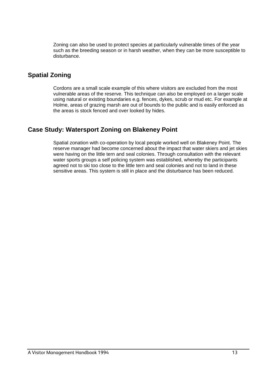Zoning can also be used to protect species at particularly vulnerable times of the year such as the breeding season or in harsh weather, when they can be more susceptible to disturbance.

#### **Spatial Zoning**

Cordons are a small scale example of this where visitors are excluded from the most vulnerable areas of the reserve. This technique can also be employed on a larger scale using natural or existing boundaries e.g. fences, dykes, scrub or mud etc. For example at Holme, areas of grazing marsh are out of bounds to the public and is easily enforced as the areas is stock fenced and over looked by hides.

#### **Case Study: Watersport Zoning on Blakeney Point**

Spatial zonation with co-operation by local people worked well on Blakeney Point. The reserve manager had become concerned about the impact that water skiers and jet skies were having on the little tern and seal colonies. Through consultation with the relevant water sports groups a self policing system was established, whereby the participants agreed not to ski too close to the little tern and seal colonies and not to land in these sensitive areas. This system is still in place and the disturbance has been reduced.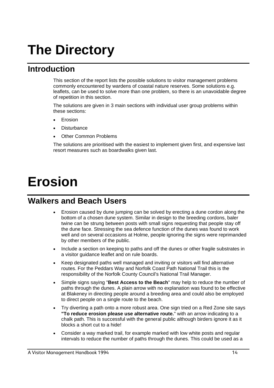## **The Directory**

### **Introduction**

This section of the report lists the possible solutions to visitor management problems commonly encountered by wardens of coastal nature reserves. Some solutions e.g. leaflets, can be used to solve more than one problem, so there is an unavoidable degree of repetition in this section.

The solutions are given in 3 main sections with individual user group problems within these sections:

- **Frosion**
- **Disturbance**
- Other Common Problems

The solutions are prioritised with the easiest to implement given first, and expensive last resort measures such as boardwalks given last.

## **Erosion**

## **Walkers and Beach Users**

- Erosion caused by dune jumping can be solved by erecting a dune cordon along the bottom of a chosen dune system. Similar in design to the breeding cordons, baler twine can be strung between posts with small signs requesting that people stay off the dune face. Stressing the sea defence function of the dunes was found to work well and on several occasions at Holme, people ignoring the signs were reprimanded by other members of the public.
- Include a section on keeping to paths and off the dunes or other fragile substrates in a visitor guidance leaflet and on rule boards.
- Keep designated paths well managed and inviting or visitors will find alternative routes. For the Peddars Way and Norfolk Coast Path National Trail this is the responsibility of the Norfolk County Council's National Trail Manager.
- Simple signs saying "**Best Access to the Beach**" may help to reduce the number of paths through the dunes. A plain arrow with no explanation was found to be effective at Blakeney in directing people around a breeding area and could also be employed to direct people on a single route to the beach.
- Try diverting a path onto a more robust area. One sign tried on a Red Zone site says **"To reduce erosion please use alternative route.**" with an arrow indicating to a chalk path. This is successful with the general public although birders ignore it as it blocks a short cut to a hide!
- Consider a way marked trail, for example marked with low white posts and regular intervals to reduce the number of paths through the dunes. This could be used as a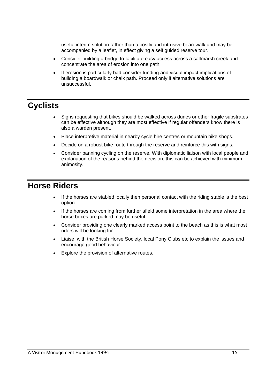useful interim solution rather than a costly and intrusive boardwalk and may be accompanied by a leaflet, in effect giving a self guided reserve tour.

- Consider building a bridge to facilitate easy access across a saltmarsh creek and concentrate the area of erosion into one path.
- If erosion is particularly bad consider funding and visual impact implications of building a boardwalk or chalk path. Proceed only if alternative solutions are unsuccessful.

## **Cyclists**

- Signs requesting that bikes should be walked across dunes or other fragile substrates can be effective although they are most effective if regular offenders know there is also a warden present.
- Place interpretive material in nearby cycle hire centres or mountain bike shops.
- Decide on a robust bike route through the reserve and reinforce this with signs.
- Consider banning cycling on the reserve. With diplomatic liaison with local people and explanation of the reasons behind the decision, this can be achieved with minimum animosity.

### **Horse Riders**

- If the horses are stabled locally then personal contact with the riding stable is the best option.
- If the horses are coming from further afield some interpretation in the area where the horse boxes are parked may be useful.
- Consider providing one clearly marked access point to the beach as this is what most riders will be looking for.
- Liaise with the British Horse Society, local Pony Clubs etc to explain the issues and encourage good behaviour.
- Explore the provision of alternative routes.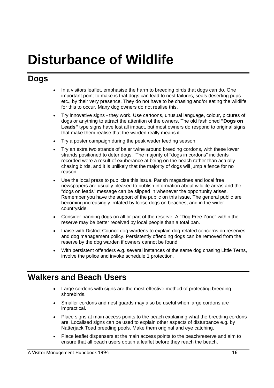## **Disturbance of Wildlife**

## **Dogs**

- In a visitors leaflet, emphasise the harm to breeding birds that dogs can do. One important point to make is that dogs can lead to nest failures, seals deserting pups etc., by their very presence. They do not have to be chasing and/or eating the wildlife for this to occur. Many dog owners do not realise this.
- Try innovative signs they work. Use cartoons, unusual language, colour, pictures of dogs or anything to attract the attention of the owners. The old fashioned **"Dogs on**  Leads" type signs have lost all impact, but most owners do respond to original signs that make them realise that the warden really means it.
- Try a poster campaign during the peak wader feeding season.
- Try an extra two strands of baler twine around breeding cordons, with these lower strands positioned to deter dogs. The majority of "dogs in cordons" incidents recorded were a result of exuberance at being on the beach rather than actually chasing birds, and it is unlikely that the majority of dogs will jump a fence for no reason.
- Use the local press to publicise this issue. Parish magazines and local free newspapers are usually pleased to publish information about wildlife areas and the "dogs on leads" message can be slipped in whenever the opportunity arises. Remember you have the support of the public on this issue. The general public are becoming increasingly irritated by loose dogs on beaches, and in the wider countryside.
- Consider banning dogs on all or part of the reserve. A "Dog Free Zone" within the reserve may be better received by local people than a total ban.
- Liaise with District Council dog wardens to explain dog-related concerns on reserves and dog management policy. Persistently offending dogs can be removed from the reserve by the dog warden if owners cannot be found.
- With persistent offenders e.g. several instances of the same dog chasing Little Terns, involve the police and invoke schedule 1 protection.

## **Walkers and Beach Users**

- Large cordons with signs are the most effective method of protecting breeding shorebirds.
- Smaller cordons and nest guards may also be useful when large cordons are impractical.
- Place signs at main access points to the beach explaining what the breeding cordons are. Localised signs can be used to explain other aspects of disturbance e.g. by Natterjack Toad breeding pools. Make them original and eye catching.
- Place leaflet dispensers at the main access points to the beach/reserve and aim to ensure that all beach users obtain a leaflet before they reach the beach.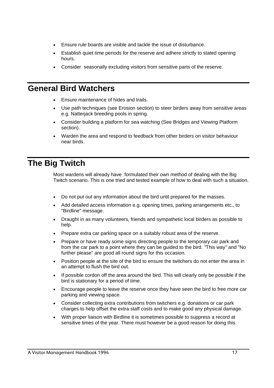- Ensure rule boards are visible and tackle the issue of disturbance.
- Establish quiet time periods for the reserve and adhere strictly to stated opening hours.
- Consider seasonally excluding visitors from sensitive parts of the reserve.

### **General Bird Watchers**

- Ensure maintenance of hides and trails.
- Use path techniques (see Erosion section) to steer birders away from sensitive areas e.g. Natterjack breeding pools in spring.
- Consider building a platform for sea watching (See Bridges and Viewing Platform section).
- Warden the area and respond to feedback from other birders on visitor behaviour near birds.

## **The Big Twitch**

Most wardens will already have formulated their own method of dealing with the Big Twitch scenario. This is one tried and tested example of how to deal with such a situation.

- Do not put out any information about the bird until prepared for the masses.
- Add detailed access information e.g. opening times, parking arrangements etc., to "Birdline" message.
- Draught in as many volunteers, friends and sympathetic local birders as possible to help.
- Prepare extra car parking space on a suitably robust area of the reserve.
- Prepare or have ready some signs directing people to the temporary car park and from the car park to a point where they can be guided to the bird. *"*This way*"* and "No further please" are good all round signs for this occasion.
- Position people at the site of the bird to ensure the twitchers do not enter the area in an attempt to flush the bird out.
- If possible cordon off the area around the bird. This will clearly only be possible if the bird is stationary for a period of time.
- Encourage people to leave the reserve once they have seen the bird to free more car parking and viewing space.
- Consider collecting extra contributions from twitchers e.g. donations or car park charges to help offset the extra staff costs and to make good any physical damage.
- With proper liaison with Birdline it is sometimes possible to suppress a record at sensitive times of the year. There must however be a good reason for doing this.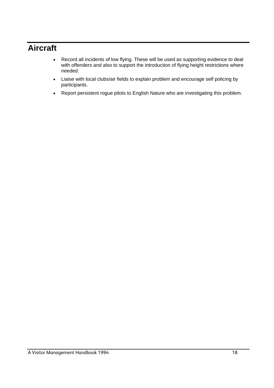## **Aircraft**

- Record all incidents of low flying. These will be used as supporting evidence to deal with offenders and also to support the introduction of flying height restrictions where needed.
- Liaise with local clubs/air fields to explain problem and encourage self policing by participants.
- Report persistent rogue pilots to English Nature who are investigating this problem.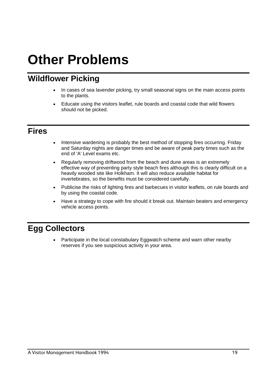## **Other Problems**

## **Wildflower Picking**

- In cases of sea lavender picking, try small seasonal signs on the main access points to the plants.
- Educate using the visitors leaflet, rule boards and coastal code that wild flowers should not be picked.

## **Fires**

- Intensive wardening is probably the best method of stopping fires occurring. Friday and Saturday nights are danger times and be aware of peak party times such as the end of 'A' Level exams etc.
- Regularly removing driftwood from the beach and dune areas is an extremely effective way of preventing party style beach fires although this is clearly difficult on a heavily wooded site like Holkham. It will also reduce available habitat for invertebrates, so the benefits must be considered carefully.
- Publicise the risks of lighting fires and barbecues in visitor leaflets, on rule boards and by using the coastal code.
- Have a strategy to cope with fire should it break out. Maintain beaters and emergency vehicle access points.

## **Egg Collectors**

• Participate in the local constabulary Eggwatch scheme and warn other nearby reserves if you see suspicious activity in your area.